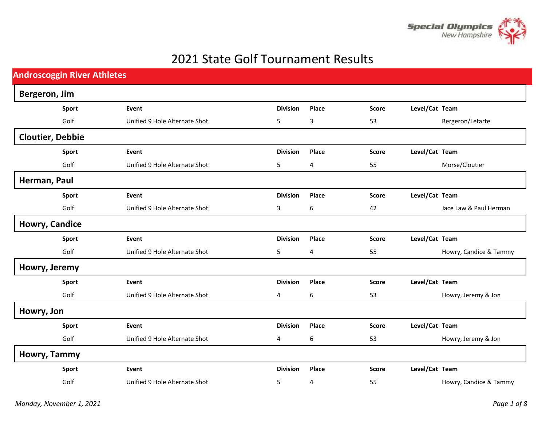

## 2021 State Golf Tournament Results

| <b>Androscoggin River Athletes</b> |                               |                 |                         |              |                |                        |
|------------------------------------|-------------------------------|-----------------|-------------------------|--------------|----------------|------------------------|
| Bergeron, Jim                      |                               |                 |                         |              |                |                        |
| Sport                              | Event                         | <b>Division</b> | Place                   | <b>Score</b> | Level/Cat Team |                        |
| Golf                               | Unified 9 Hole Alternate Shot | 5               | 3                       | 53           |                | Bergeron/Letarte       |
| <b>Cloutier, Debbie</b>            |                               |                 |                         |              |                |                        |
| Sport                              | Event                         | <b>Division</b> | Place                   | <b>Score</b> | Level/Cat Team |                        |
| Golf                               | Unified 9 Hole Alternate Shot | 5               | $\overline{\mathbf{4}}$ | 55           |                | Morse/Cloutier         |
| Herman, Paul                       |                               |                 |                         |              |                |                        |
| Sport                              | Event                         | <b>Division</b> | Place                   | <b>Score</b> | Level/Cat Team |                        |
| Golf                               | Unified 9 Hole Alternate Shot | 3               | 6                       | 42           |                | Jace Law & Paul Herman |
| <b>Howry, Candice</b>              |                               |                 |                         |              |                |                        |
| Sport                              | Event                         | <b>Division</b> | Place                   | <b>Score</b> | Level/Cat Team |                        |
| Golf                               | Unified 9 Hole Alternate Shot | 5               | $\overline{4}$          | 55           |                | Howry, Candice & Tammy |
| Howry, Jeremy                      |                               |                 |                         |              |                |                        |
| Sport                              | Event                         | <b>Division</b> | Place                   | <b>Score</b> | Level/Cat Team |                        |
| Golf                               | Unified 9 Hole Alternate Shot | 4               | 6                       | 53           |                | Howry, Jeremy & Jon    |
| Howry, Jon                         |                               |                 |                         |              |                |                        |
| Sport                              | Event                         | <b>Division</b> | Place                   | <b>Score</b> | Level/Cat Team |                        |
| Golf                               | Unified 9 Hole Alternate Shot | 4               | 6                       | 53           |                | Howry, Jeremy & Jon    |
| Howry, Tammy                       |                               |                 |                         |              |                |                        |
| Sport                              | Event                         | <b>Division</b> | Place                   | <b>Score</b> | Level/Cat Team |                        |
| Golf                               | Unified 9 Hole Alternate Shot | 5               | 4                       | 55           |                | Howry, Candice & Tammy |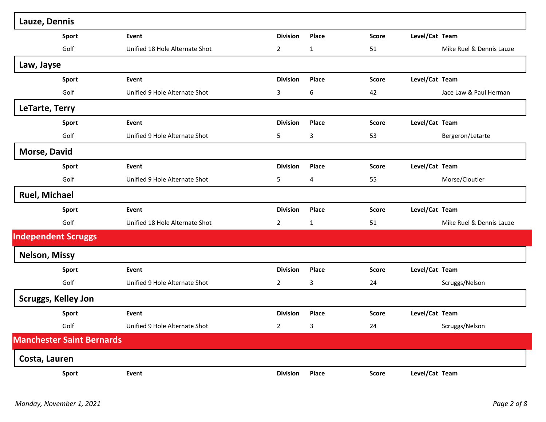| Lauze, Dennis                    |                                |                 |              |              |                          |
|----------------------------------|--------------------------------|-----------------|--------------|--------------|--------------------------|
| Sport                            | Event                          | <b>Division</b> | Place        | <b>Score</b> | Level/Cat Team           |
| Golf                             | Unified 18 Hole Alternate Shot | $\overline{2}$  | $\mathbf{1}$ | 51           | Mike Ruel & Dennis Lauze |
| Law, Jayse                       |                                |                 |              |              |                          |
| Sport                            | Event                          | <b>Division</b> | Place        | <b>Score</b> | Level/Cat Team           |
| Golf                             | Unified 9 Hole Alternate Shot  | 3               | 6            | 42           | Jace Law & Paul Herman   |
| LeTarte, Terry                   |                                |                 |              |              |                          |
| Sport                            | Event                          | <b>Division</b> | Place        | <b>Score</b> | Level/Cat Team           |
| Golf                             | Unified 9 Hole Alternate Shot  | 5               | 3            | 53           | Bergeron/Letarte         |
| <b>Morse, David</b>              |                                |                 |              |              |                          |
| Sport                            | Event                          | <b>Division</b> | Place        | <b>Score</b> | Level/Cat Team           |
| Golf                             | Unified 9 Hole Alternate Shot  | 5               | 4            | 55           | Morse/Cloutier           |
| <b>Ruel, Michael</b>             |                                |                 |              |              |                          |
| Sport                            | Event                          | <b>Division</b> | Place        | <b>Score</b> | Level/Cat Team           |
| Golf                             | Unified 18 Hole Alternate Shot | $\overline{2}$  | $\mathbf{1}$ | 51           | Mike Ruel & Dennis Lauze |
| <b>Independent Scruggs</b>       |                                |                 |              |              |                          |
| <b>Nelson, Missy</b>             |                                |                 |              |              |                          |
| <b>Sport</b>                     | Event                          | <b>Division</b> | Place        | <b>Score</b> | Level/Cat Team           |
| Golf                             | Unified 9 Hole Alternate Shot  | $\overline{2}$  | 3            | 24           | Scruggs/Nelson           |
| <b>Scruggs, Kelley Jon</b>       |                                |                 |              |              |                          |
| Sport                            | Event                          | <b>Division</b> | Place        | <b>Score</b> | Level/Cat Team           |
| Golf                             | Unified 9 Hole Alternate Shot  | $\overline{2}$  | 3            | 24           | Scruggs/Nelson           |
| <b>Manchester Saint Bernards</b> |                                |                 |              |              |                          |
| Costa, Lauren                    |                                |                 |              |              |                          |
| <b>Sport</b>                     | Event                          | <b>Division</b> | Place        | <b>Score</b> | Level/Cat Team           |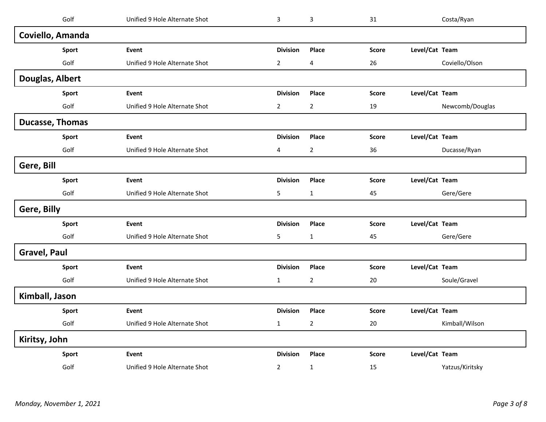| Golf                   | Unified 9 Hole Alternate Shot | 3               | 3              | 31           |                | Costa/Ryan      |
|------------------------|-------------------------------|-----------------|----------------|--------------|----------------|-----------------|
| Coviello, Amanda       |                               |                 |                |              |                |                 |
| Sport                  | Event                         | <b>Division</b> | Place          | <b>Score</b> | Level/Cat Team |                 |
| Golf                   | Unified 9 Hole Alternate Shot | $\overline{2}$  | 4              | 26           |                | Coviello/Olson  |
| Douglas, Albert        |                               |                 |                |              |                |                 |
| <b>Sport</b>           | Event                         | <b>Division</b> | Place          | <b>Score</b> | Level/Cat Team |                 |
| Golf                   | Unified 9 Hole Alternate Shot | $\overline{2}$  | $\overline{2}$ | 19           |                | Newcomb/Douglas |
| <b>Ducasse, Thomas</b> |                               |                 |                |              |                |                 |
| Sport                  | Event                         | <b>Division</b> | Place          | <b>Score</b> | Level/Cat Team |                 |
| Golf                   | Unified 9 Hole Alternate Shot | 4               | $\overline{2}$ | 36           |                | Ducasse/Ryan    |
| Gere, Bill             |                               |                 |                |              |                |                 |
| Sport                  | Event                         | <b>Division</b> | Place          | <b>Score</b> | Level/Cat Team |                 |
| Golf                   | Unified 9 Hole Alternate Shot | 5               | $\mathbf{1}$   | 45           |                | Gere/Gere       |
| Gere, Billy            |                               |                 |                |              |                |                 |
| Sport                  | Event                         | <b>Division</b> | Place          | <b>Score</b> | Level/Cat Team |                 |
| Golf                   | Unified 9 Hole Alternate Shot | 5               | $\mathbf{1}$   | 45           |                | Gere/Gere       |
| <b>Gravel, Paul</b>    |                               |                 |                |              |                |                 |
| Sport                  | Event                         | <b>Division</b> | Place          | <b>Score</b> | Level/Cat Team |                 |
| Golf                   | Unified 9 Hole Alternate Shot | $\mathbf 1$     | $\overline{2}$ | 20           |                | Soule/Gravel    |
| Kimball, Jason         |                               |                 |                |              |                |                 |
| Sport                  | Event                         | <b>Division</b> | Place          | <b>Score</b> | Level/Cat Team |                 |
| Golf                   | Unified 9 Hole Alternate Shot | $\mathbf{1}$    | $\overline{2}$ | 20           |                | Kimball/Wilson  |
| Kiritsy, John          |                               |                 |                |              |                |                 |
| Sport                  | Event                         | <b>Division</b> | Place          | <b>Score</b> | Level/Cat Team |                 |
| Golf                   | Unified 9 Hole Alternate Shot | $\overline{2}$  | $\mathbf{1}$   | 15           |                | Yatzus/Kiritsky |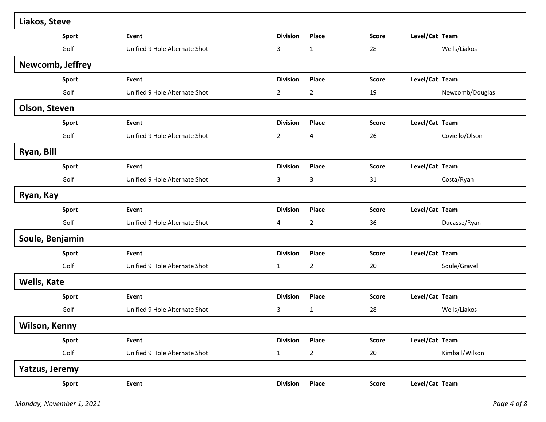| Liakos, Steve      |                               |                 |                |              |                |                 |
|--------------------|-------------------------------|-----------------|----------------|--------------|----------------|-----------------|
| Sport              | Event                         | <b>Division</b> | Place          | <b>Score</b> | Level/Cat Team |                 |
| Golf               | Unified 9 Hole Alternate Shot | 3               | $\mathbf{1}$   | 28           |                | Wells/Liakos    |
| Newcomb, Jeffrey   |                               |                 |                |              |                |                 |
| <b>Sport</b>       | Event                         | <b>Division</b> | Place          | <b>Score</b> | Level/Cat Team |                 |
| Golf               | Unified 9 Hole Alternate Shot | $\overline{2}$  | $\overline{2}$ | 19           |                | Newcomb/Douglas |
| Olson, Steven      |                               |                 |                |              |                |                 |
| Sport              | Event                         | <b>Division</b> | Place          | <b>Score</b> | Level/Cat Team |                 |
| Golf               | Unified 9 Hole Alternate Shot | $\overline{2}$  | 4              | 26           |                | Coviello/Olson  |
| Ryan, Bill         |                               |                 |                |              |                |                 |
| Sport              | Event                         | <b>Division</b> | Place          | <b>Score</b> | Level/Cat Team |                 |
| Golf               | Unified 9 Hole Alternate Shot | 3               | 3              | 31           |                | Costa/Ryan      |
| Ryan, Kay          |                               |                 |                |              |                |                 |
| Sport              | Event                         | <b>Division</b> | Place          | <b>Score</b> | Level/Cat Team |                 |
| Golf               | Unified 9 Hole Alternate Shot | 4               | $\overline{2}$ | 36           |                | Ducasse/Ryan    |
| Soule, Benjamin    |                               |                 |                |              |                |                 |
| Sport              | Event                         | <b>Division</b> | Place          | <b>Score</b> | Level/Cat Team |                 |
| Golf               | Unified 9 Hole Alternate Shot | $\mathbf{1}$    | $\overline{2}$ | 20           |                | Soule/Gravel    |
| <b>Wells, Kate</b> |                               |                 |                |              |                |                 |
| Sport              | Event                         | <b>Division</b> | Place          | <b>Score</b> | Level/Cat Team |                 |
| Golf               | Unified 9 Hole Alternate Shot | 3               | 1              | 28           |                | Wells/Liakos    |
| Wilson, Kenny      |                               |                 |                |              |                |                 |
| Sport              | Event                         | <b>Division</b> | Place          | <b>Score</b> | Level/Cat Team |                 |
| Golf               | Unified 9 Hole Alternate Shot | $\mathbf{1}$    | $\overline{2}$ | 20           |                | Kimball/Wilson  |
| Yatzus, Jeremy     |                               |                 |                |              |                |                 |
| Sport              | Event                         | <b>Division</b> | Place          | <b>Score</b> | Level/Cat Team |                 |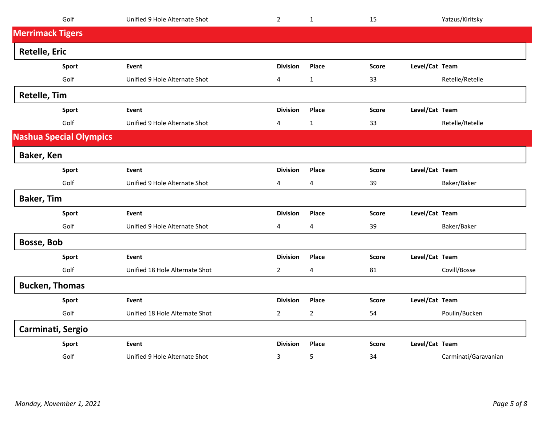| Golf                           | Unified 9 Hole Alternate Shot  | $\overline{2}$  | $\mathbf{1}$   | 15           | Yatzus/Kiritsky |                      |
|--------------------------------|--------------------------------|-----------------|----------------|--------------|-----------------|----------------------|
| <b>Merrimack Tigers</b>        |                                |                 |                |              |                 |                      |
| <b>Retelle, Eric</b>           |                                |                 |                |              |                 |                      |
| Sport                          | Event                          | <b>Division</b> | Place          | <b>Score</b> | Level/Cat Team  |                      |
| Golf                           | Unified 9 Hole Alternate Shot  | 4               | $\mathbf 1$    | 33           | Retelle/Retelle |                      |
| <b>Retelle, Tim</b>            |                                |                 |                |              |                 |                      |
| Sport                          | Event                          | <b>Division</b> | Place          | <b>Score</b> | Level/Cat Team  |                      |
| Golf                           | Unified 9 Hole Alternate Shot  | 4               | $\mathbf{1}$   | 33           | Retelle/Retelle |                      |
| <b>Nashua Special Olympics</b> |                                |                 |                |              |                 |                      |
| Baker, Ken                     |                                |                 |                |              |                 |                      |
| Sport                          | Event                          | <b>Division</b> | Place          | <b>Score</b> | Level/Cat Team  |                      |
| Golf                           | Unified 9 Hole Alternate Shot  | 4               | 4              | 39           | Baker/Baker     |                      |
| <b>Baker, Tim</b>              |                                |                 |                |              |                 |                      |
| Sport                          | Event                          | <b>Division</b> | Place          | <b>Score</b> | Level/Cat Team  |                      |
| Golf                           | Unified 9 Hole Alternate Shot  | 4               | 4              | 39           | Baker/Baker     |                      |
| <b>Bosse, Bob</b>              |                                |                 |                |              |                 |                      |
| Sport                          | Event                          | <b>Division</b> | Place          | <b>Score</b> | Level/Cat Team  |                      |
| Golf                           | Unified 18 Hole Alternate Shot | $\overline{2}$  | 4              | 81           | Covill/Bosse    |                      |
| <b>Bucken, Thomas</b>          |                                |                 |                |              |                 |                      |
| Sport                          | Event                          | <b>Division</b> | Place          | <b>Score</b> | Level/Cat Team  |                      |
| Golf                           | Unified 18 Hole Alternate Shot | $\overline{2}$  | $\overline{2}$ | 54           | Poulin/Bucken   |                      |
| Carminati, Sergio              |                                |                 |                |              |                 |                      |
| Sport                          | Event                          | <b>Division</b> | Place          | <b>Score</b> | Level/Cat Team  |                      |
| Golf                           | Unified 9 Hole Alternate Shot  | 3               | 5              | 34           |                 | Carminati/Garavanian |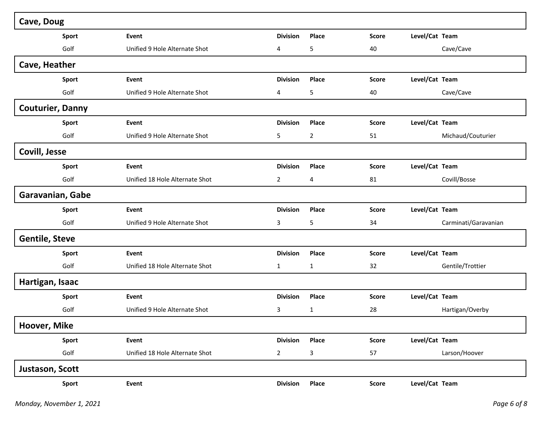| Cave, Doug              |                                |                 |                |              |                |                      |
|-------------------------|--------------------------------|-----------------|----------------|--------------|----------------|----------------------|
| Sport                   | Event                          | <b>Division</b> | Place          | <b>Score</b> | Level/Cat Team |                      |
| Golf                    | Unified 9 Hole Alternate Shot  | 4               | 5              | 40           |                | Cave/Cave            |
| Cave, Heather           |                                |                 |                |              |                |                      |
| Sport                   | Event                          | <b>Division</b> | Place          | <b>Score</b> | Level/Cat Team |                      |
| Golf                    | Unified 9 Hole Alternate Shot  | 4               | 5              | 40           |                | Cave/Cave            |
| <b>Couturier, Danny</b> |                                |                 |                |              |                |                      |
| Sport                   | Event                          | <b>Division</b> | Place          | <b>Score</b> | Level/Cat Team |                      |
| Golf                    | Unified 9 Hole Alternate Shot  | 5               | $\overline{2}$ | 51           |                | Michaud/Couturier    |
| <b>Covill, Jesse</b>    |                                |                 |                |              |                |                      |
| Sport                   | Event                          | <b>Division</b> | Place          | <b>Score</b> | Level/Cat Team |                      |
| Golf                    | Unified 18 Hole Alternate Shot | $\overline{2}$  | 4              | 81           |                | Covill/Bosse         |
| Garavanian, Gabe        |                                |                 |                |              |                |                      |
| Sport                   | Event                          | <b>Division</b> | Place          | <b>Score</b> | Level/Cat Team |                      |
| Golf                    | Unified 9 Hole Alternate Shot  | 3               | 5              | 34           |                | Carminati/Garavanian |
| <b>Gentile, Steve</b>   |                                |                 |                |              |                |                      |
| Sport                   | Event                          | <b>Division</b> | Place          | <b>Score</b> | Level/Cat Team |                      |
| Golf                    | Unified 18 Hole Alternate Shot | 1               | $\mathbf{1}$   | 32           |                | Gentile/Trottier     |
| Hartigan, Isaac         |                                |                 |                |              |                |                      |
| <b>Sport</b>            | Event                          | <b>Division</b> | Place          | <b>Score</b> | Level/Cat Team |                      |
| Golf                    | Unified 9 Hole Alternate Shot  | 3               | $\mathbf{1}$   | 28           |                | Hartigan/Overby      |
| Hoover, Mike            |                                |                 |                |              |                |                      |
| Sport                   | Event                          | <b>Division</b> | Place          | <b>Score</b> | Level/Cat Team |                      |
| Golf                    | Unified 18 Hole Alternate Shot | $\overline{2}$  | $\mathsf{3}$   | 57           |                | Larson/Hoover        |
| Justason, Scott         |                                |                 |                |              |                |                      |
| Sport                   | Event                          | <b>Division</b> | Place          | Score        | Level/Cat Team |                      |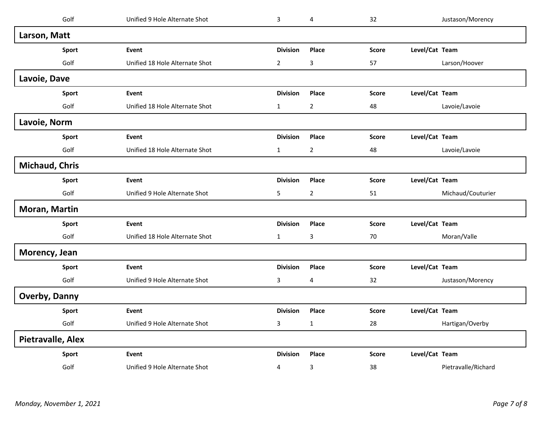| Golf                  | Unified 9 Hole Alternate Shot  | $\mathbf{3}$    | $\overline{\mathbf{4}}$ | 32           |                | Justason/Morency    |
|-----------------------|--------------------------------|-----------------|-------------------------|--------------|----------------|---------------------|
| Larson, Matt          |                                |                 |                         |              |                |                     |
| Sport                 | Event                          | <b>Division</b> | Place                   | <b>Score</b> | Level/Cat Team |                     |
| Golf                  | Unified 18 Hole Alternate Shot | $\overline{2}$  | 3                       | 57           |                | Larson/Hoover       |
| Lavoie, Dave          |                                |                 |                         |              |                |                     |
| Sport                 | Event                          | <b>Division</b> | Place                   | <b>Score</b> | Level/Cat Team |                     |
| Golf                  | Unified 18 Hole Alternate Shot | $\mathbf{1}$    | $\overline{2}$          | 48           |                | Lavoie/Lavoie       |
| Lavoie, Norm          |                                |                 |                         |              |                |                     |
| Sport                 | Event                          | <b>Division</b> | Place                   | <b>Score</b> | Level/Cat Team |                     |
| Golf                  | Unified 18 Hole Alternate Shot | $\mathbf{1}$    | $\overline{2}$          | 48           |                | Lavoie/Lavoie       |
| <b>Michaud, Chris</b> |                                |                 |                         |              |                |                     |
| Sport                 | Event                          | <b>Division</b> | Place                   | <b>Score</b> | Level/Cat Team |                     |
| Golf                  | Unified 9 Hole Alternate Shot  | 5               | $\overline{2}$          | 51           |                | Michaud/Couturier   |
| Moran, Martin         |                                |                 |                         |              |                |                     |
| Sport                 | Event                          | <b>Division</b> | Place                   | <b>Score</b> | Level/Cat Team |                     |
| Golf                  | Unified 18 Hole Alternate Shot | $\mathbf{1}$    | 3                       | 70           |                | Moran/Valle         |
| Morency, Jean         |                                |                 |                         |              |                |                     |
| Sport                 | <b>Event</b>                   | <b>Division</b> | Place                   | <b>Score</b> | Level/Cat Team |                     |
| Golf                  | Unified 9 Hole Alternate Shot  | 3               | $\overline{\mathbf{4}}$ | 32           |                | Justason/Morency    |
| <b>Overby, Danny</b>  |                                |                 |                         |              |                |                     |
| Sport                 | Event                          | <b>Division</b> | Place                   | <b>Score</b> | Level/Cat Team |                     |
| Golf                  | Unified 9 Hole Alternate Shot  | $\mathbf{3}$    | $\mathbf{1}$            | 28           |                | Hartigan/Overby     |
| Pietravalle, Alex     |                                |                 |                         |              |                |                     |
| Sport                 | Event                          | <b>Division</b> | Place                   | <b>Score</b> | Level/Cat Team |                     |
| Golf                  | Unified 9 Hole Alternate Shot  | 4               | 3                       | 38           |                | Pietravalle/Richard |